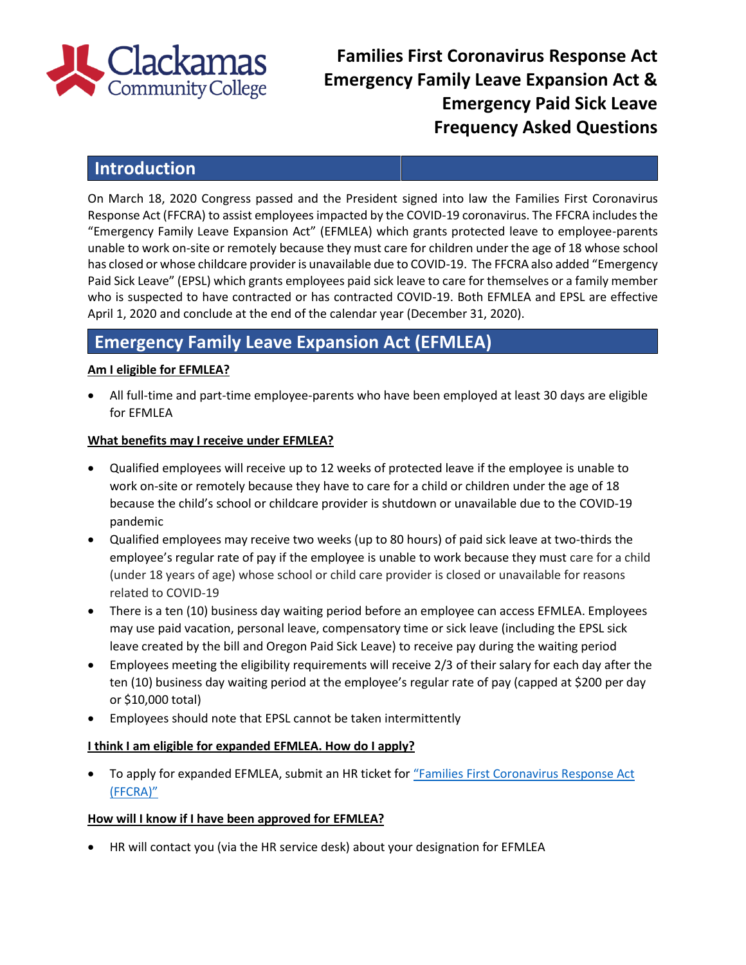

# **Families First Coronavirus Response Act Emergency Family Leave Expansion Act & Emergency Paid Sick Leave Frequency Asked Questions**

# **Introduction**

On March 18, 2020 Congress passed and the President signed into law the Families First Coronavirus Response Act (FFCRA) to assist employees impacted by the COVID-19 coronavirus. The FFCRA includes the "Emergency Family Leave Expansion Act" (EFMLEA) which grants protected leave to employee-parents unable to work on-site or remotely because they must care for children under the age of 18 whose school has closed or whose childcare provider is unavailable due to COVID-19. The FFCRA also added "Emergency Paid Sick Leave" (EPSL) which grants employees paid sick leave to care for themselves or a family member who is suspected to have contracted or has contracted COVID-19. Both EFMLEA and EPSL are effective April 1, 2020 and conclude at the end of the calendar year (December 31, 2020).

# **Emergency Family Leave Expansion Act (EFMLEA)**

## **Am I eligible for EFMLEA?**

 All full-time and part-time employee-parents who have been employed at least 30 days are eligible for EFMLEA

### **What benefits may I receive under EFMLEA?**

- Qualified employees will receive up to 12 weeks of protected leave if the employee is unable to work on-site or remotely because they have to care for a child or children under the age of 18 because the child's school or childcare provider is shutdown or unavailable due to the COVID-19 pandemic
- Qualified employees may receive two weeks (up to 80 hours) of paid sick leave at two-thirds the employee's regular rate of pay if the employee is unable to work because they must care for a child (under 18 years of age) whose school or child care provider is closed or unavailable for reasons related to COVID-19
- There is a ten (10) business day waiting period before an employee can access EFMLEA. Employees may use paid vacation, personal leave, compensatory time or sick leave (including the EPSL sick leave created by the bill and Oregon Paid Sick Leave) to receive pay during the waiting period
- Employees meeting the eligibility requirements will receive 2/3 of their salary for each day after the ten (10) business day waiting period at the employee's regular rate of pay (capped at \$200 per day or \$10,000 total)
- Employees should note that EPSL cannot be taken intermittently

#### **I think I am eligible for expanded EFMLEA. How do I apply?**

To apply for expanded EFMLEA, submit an HR ticket for ["Families](https://clackamas.teamdynamix.com/TDClient/1853/Portal/Requests/ServiceDet?ID=42701) First Coronavirus Response Act (FFCRA)"

# **How will I know if I have been approved for EFMLEA?**

HR will contact you (via the HR service desk) about your designation for EFMLEA